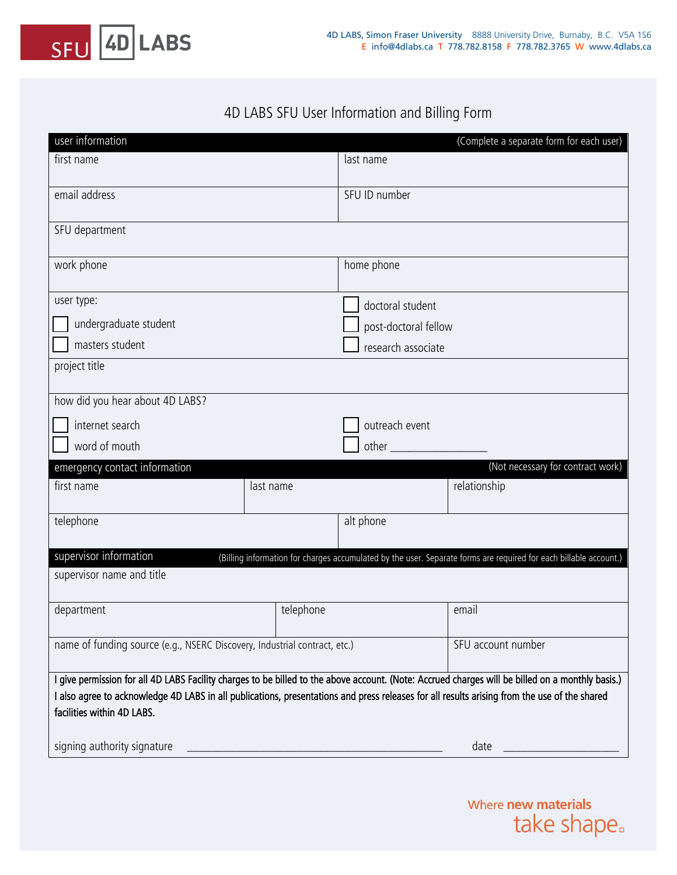

## 4D LABS SFU User Information and Billing Form

| user information<br>(Complete a separate form for each user)                                                                                     |           |                      |                                                                                                                   |  |
|--------------------------------------------------------------------------------------------------------------------------------------------------|-----------|----------------------|-------------------------------------------------------------------------------------------------------------------|--|
| first name                                                                                                                                       |           | last name            |                                                                                                                   |  |
|                                                                                                                                                  |           |                      |                                                                                                                   |  |
| email address                                                                                                                                    |           | SFU ID number        |                                                                                                                   |  |
| SFU department                                                                                                                                   |           |                      |                                                                                                                   |  |
|                                                                                                                                                  |           |                      |                                                                                                                   |  |
| work phone                                                                                                                                       |           | home phone           |                                                                                                                   |  |
|                                                                                                                                                  |           |                      |                                                                                                                   |  |
| user type:                                                                                                                                       |           | doctoral student     |                                                                                                                   |  |
| undergraduate student                                                                                                                            |           | post-doctoral fellow |                                                                                                                   |  |
| masters student                                                                                                                                  |           | research associate   |                                                                                                                   |  |
| project title                                                                                                                                    |           |                      |                                                                                                                   |  |
|                                                                                                                                                  |           |                      |                                                                                                                   |  |
| how did you hear about 4D LABS?                                                                                                                  |           |                      |                                                                                                                   |  |
| internet search                                                                                                                                  |           | outreach event       |                                                                                                                   |  |
| word of mouth                                                                                                                                    |           | other                |                                                                                                                   |  |
| emergency contact information                                                                                                                    |           |                      | (Not necessary for contract work)                                                                                 |  |
| first name                                                                                                                                       | last name |                      | relationship                                                                                                      |  |
|                                                                                                                                                  |           |                      |                                                                                                                   |  |
| telephone                                                                                                                                        |           | alt phone            |                                                                                                                   |  |
| supervisor information                                                                                                                           |           |                      | (Billing information for charges accumulated by the user. Separate forms are required for each billable account.) |  |
| supervisor name and title                                                                                                                        |           |                      |                                                                                                                   |  |
|                                                                                                                                                  |           |                      |                                                                                                                   |  |
| department                                                                                                                                       | telephone |                      | email                                                                                                             |  |
| name of funding source (e.g., NSERC Discovery, Industrial contract, etc.)                                                                        |           |                      | SFU account number                                                                                                |  |
|                                                                                                                                                  |           |                      |                                                                                                                   |  |
| I give permission for all 4D LABS Facility charges to be billed to the above account. (Note: Accrued charges will be billed on a monthly basis.) |           |                      |                                                                                                                   |  |
| I also agree to acknowledge 4D LABS in all publications, presentations and press releases for all results arising from the use of the shared     |           |                      |                                                                                                                   |  |
| facilities within 4D LABS.                                                                                                                       |           |                      |                                                                                                                   |  |
| signing authority signature                                                                                                                      |           |                      | date                                                                                                              |  |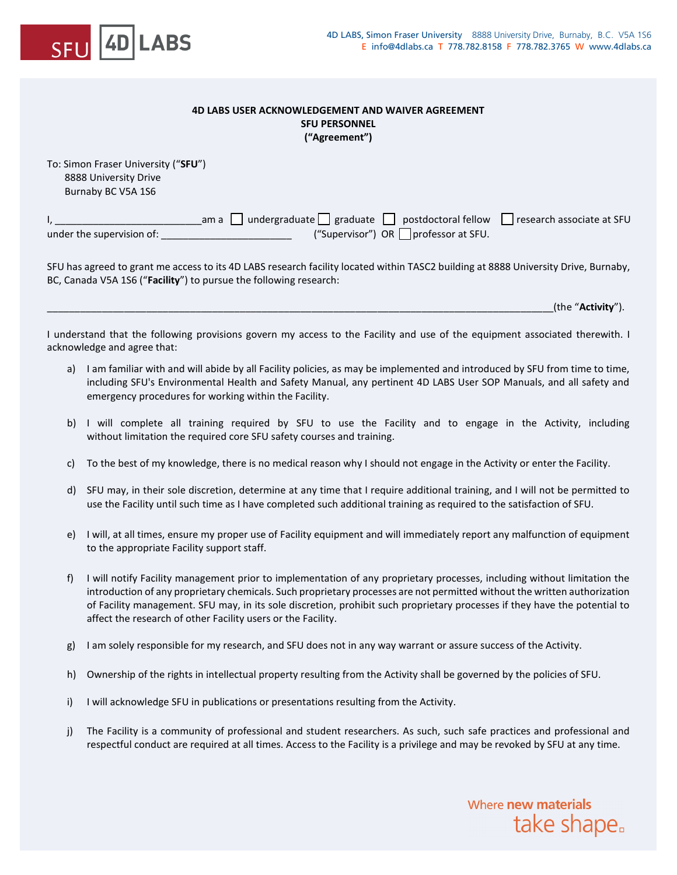

## **4D LABS USER ACKNOWLEDGEMENT AND WAIVER AGREEMENT SFU PERSONNEL ("Agreement")**

To: Simon Fraser University ("**SFU**") 8888 University Drive Burnaby BC V5A 1S6

I, \_\_\_\_\_\_\_\_\_\_\_\_\_\_\_\_\_\_\_\_\_\_\_\_\_\_\_am a ☐ undergraduate ☐ graduate ☐ postdoctoral fellow ☐ research associate at SFU under the supervision of: \_\_\_\_\_\_\_\_\_\_\_\_\_\_\_\_\_\_\_\_\_\_\_\_ ("Supervisor") OR ☐ professor at SFU.

SFU has agreed to grant me access to its 4D LABS research facility located within TASC2 building at 8888 University Drive, Burnaby, BC, Canada V5A 1S6 ("**Facility**") to pursue the following research:

\_\_\_\_\_\_\_\_\_\_\_\_\_\_\_\_\_\_\_\_\_\_\_\_\_\_\_\_\_\_\_\_\_\_\_\_\_\_\_\_\_\_\_\_\_\_\_\_\_\_\_\_\_\_\_\_\_\_\_\_\_\_\_\_\_\_\_\_\_\_\_\_\_\_\_\_\_\_\_\_\_\_\_\_\_\_\_\_\_\_\_\_(the "**Activity**").

I understand that the following provisions govern my access to the Facility and use of the equipment associated therewith. I acknowledge and agree that:

- a) I am familiar with and will abide by all Facility policies, as may be implemented and introduced by SFU from time to time, including SFU's Environmental Health and Safety Manual, any pertinent 4D LABS User SOP Manuals, and all safety and emergency procedures for working within the Facility.
- b) I will complete all training required by SFU to use the Facility and to engage in the Activity, including without limitation the required core SFU safety courses and training.
- c) To the best of my knowledge, there is no medical reason why I should not engage in the Activity or enter the Facility.
- d) SFU may, in their sole discretion, determine at any time that I require additional training, and I will not be permitted to use the Facility until such time as I have completed such additional training as required to the satisfaction of SFU.
- e) I will, at all times, ensure my proper use of Facility equipment and will immediately report any malfunction of equipment to the appropriate Facility support staff.
- f) I will notify Facility management prior to implementation of any proprietary processes, including without limitation the introduction of any proprietary chemicals. Such proprietary processes are not permitted without the written authorization of Facility management. SFU may, in its sole discretion, prohibit such proprietary processes if they have the potential to affect the research of other Facility users or the Facility.
- g) I am solely responsible for my research, and SFU does not in any way warrant or assure success of the Activity.
- h) Ownership of the rights in intellectual property resulting from the Activity shall be governed by the policies of SFU.
- i) I will acknowledge SFU in publications or presentations resulting from the Activity.
- j) The Facility is a community of professional and student researchers. As such, such safe practices and professional and respectful conduct are required at all times. Access to the Facility is a privilege and may be revoked by SFU at any time.

Where **new materials** take shape.